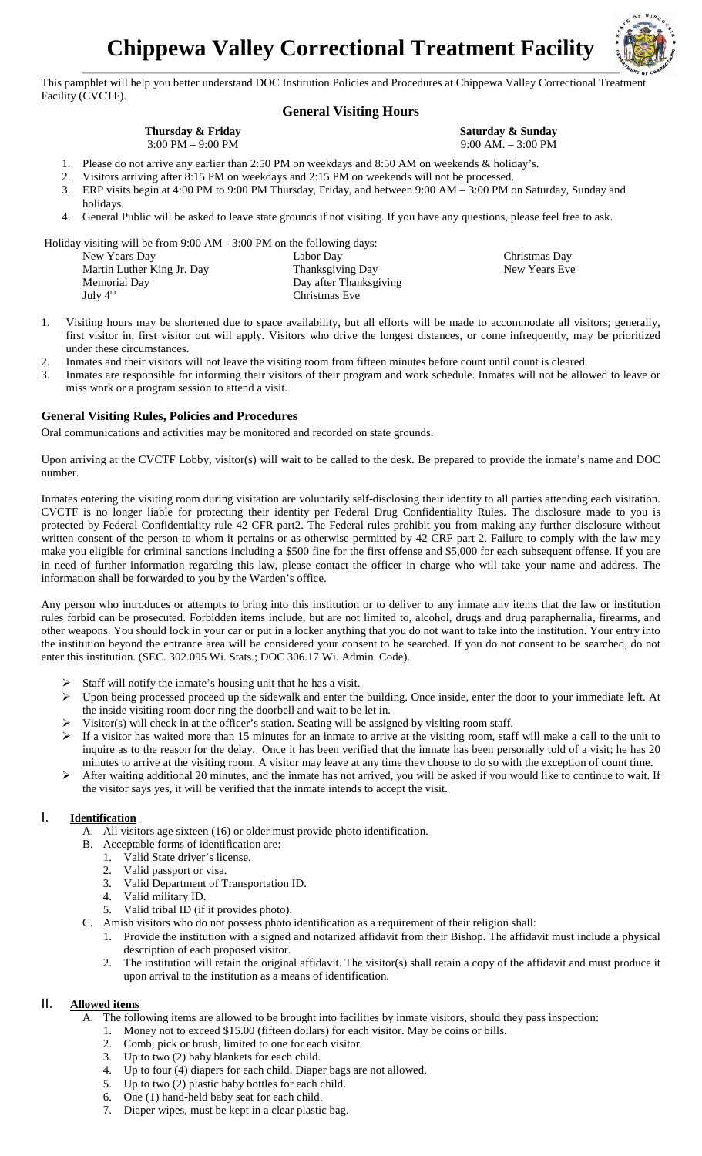

This pamphlet will help you better understand DOC Institution Policies and Procedures at Chippewa Valley Correctional Treatment Facility (CVCTF).

# **General Visiting Hours**

#### **Thursday & Friday** 3:00 PM – 9:00 PM

#### **Saturday & Sunday** 9:00 AM. – 3:00 PM

Christmas Day New Years Eve

- 1. Please do not arrive any earlier than 2:50 PM on weekdays and 8:50 AM on weekends & holiday's. 2. Visitors arriving after 8:15 PM on weekdays and 2:15 PM on weekends will not be processed.
- 3. ERP visits begin at 4:00 PM to 9:00 PM Thursday, Friday, and between 9:00 AM 3:00 PM on Saturday, Sunday and holidays.
- 4. General Public will be asked to leave state grounds if not visiting. If you have any questions, please feel free to ask.

Holiday visiting will be from 9:00 AM - 3:00 PM on the following days:

| New Years Day              | Labor Day              |
|----------------------------|------------------------|
| Martin Luther King Jr. Day | Thanksgiving Day       |
| Memorial Day               | Day after Thanksgiving |
| July $4th$                 | Christmas Eve          |

- 1. Visiting hours may be shortened due to space availability, but all efforts will be made to accommodate all visitors; generally, first visitor in, first visitor out will apply. Visitors who drive the longest distances, or come infrequently, may be prioritized under these circumstances.
- 2. Inmates and their visitors will not leave the visiting room from fifteen minutes before count until count is cleared.
- 3. Inmates are responsible for informing their visitors of their program and work schedule. Inmates will not be allowed to leave or miss work or a program session to attend a visit.

### **General Visiting Rules, Policies and Procedures**

Oral communications and activities may be monitored and recorded on state grounds.

Upon arriving at the CVCTF Lobby, visitor(s) will wait to be called to the desk. Be prepared to provide the inmate's name and DOC number.

Inmates entering the visiting room during visitation are voluntarily self-disclosing their identity to all parties attending each visitation. CVCTF is no longer liable for protecting their identity per Federal Drug Confidentiality Rules. The disclosure made to you is protected by Federal Confidentiality rule 42 CFR part2. The Federal rules prohibit you from making any further disclosure without written consent of the person to whom it pertains or as otherwise permitted by 42 CRF part 2. Failure to comply with the law may make you eligible for criminal sanctions including a \$500 fine for the first offense and \$5,000 for each subsequent offense. If you are in need of further information regarding this law, please contact the officer in charge who will take your name and address. The information shall be forwarded to you by the Warden's office.

Any person who introduces or attempts to bring into this institution or to deliver to any inmate any items that the law or institution rules forbid can be prosecuted. Forbidden items include, but are not limited to, alcohol, drugs and drug paraphernalia, firearms, and other weapons. You should lock in your car or put in a locker anything that you do not want to take into the institution. Your entry into the institution beyond the entrance area will be considered your consent to be searched. If you do not consent to be searched, do not enter this institution. (SEC. 302.095 Wi. Stats.; DOC 306.17 Wi. Admin. Code).

- $\triangleright$  Staff will notify the inmate's housing unit that he has a visit.
- Upon being processed proceed up the sidewalk and enter the building. Once inside, enter the door to your immediate left. At the inside visiting room door ring the doorbell and wait to be let in.
- Visitor(s) will check in at the officer's station. Seating will be assigned by visiting room staff.
- $\triangleright$  If a visitor has waited more than 15 minutes for an inmate to arrive at the visiting room, staff will make a call to the unit to inquire as to the reason for the delay. Once it has been verified that the inmate has been personally told of a visit; he has 20 minutes to arrive at the visiting room. A visitor may leave at any time they choose to do so with the exception of count time.
- After waiting additional 20 minutes, and the inmate has not arrived, you will be asked if you would like to continue to wait. If the visitor says yes, it will be verified that the inmate intends to accept the visit.

## I. **Identification**

- A. All visitors age sixteen (16) or older must provide photo identification.
- B. Acceptable forms of identification are:
	- 1. Valid State driver's license.
	- 2. Valid passport or visa.
	- 3. Valid Department of Transportation ID.
	- 4. Valid military ID.
	- 5. Valid tribal ID (if it provides photo).
- C. Amish visitors who do not possess photo identification as a requirement of their religion shall:
	- 1. Provide the institution with a signed and notarized affidavit from their Bishop. The affidavit must include a physical description of each proposed visitor.
	- 2. The institution will retain the original affidavit. The visitor(s) shall retain a copy of the affidavit and must produce it upon arrival to the institution as a means of identification.

# II. **Allowed items**

- A. The following items are allowed to be brought into facilities by inmate visitors, should they pass inspection:
	- 1. Money not to exceed \$15.00 (fifteen dollars) for each visitor. May be coins or bills.
		- 2. Comb, pick or brush, limited to one for each visitor.
		- 3. Up to two (2) baby blankets for each child.
		- 4. Up to four (4) diapers for each child. Diaper bags are not allowed.
		- 5. Up to two (2) plastic baby bottles for each child.
		- 6. One (1) hand-held baby seat for each child.
		- 7. Diaper wipes, must be kept in a clear plastic bag.